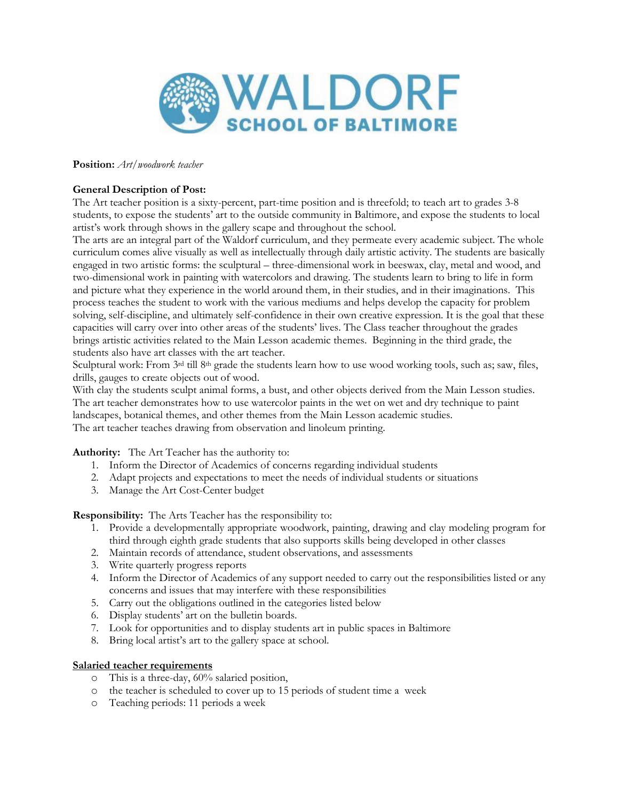

**Position:** *Art/woodwork teacher*

## **General Description of Post:**

The Art teacher position is a sixty-percent, part-time position and is threefold; to teach art to grades 3-8 students, to expose the students' art to the outside community in Baltimore, and expose the students to local artist's work through shows in the gallery scape and throughout the school.

The arts are an integral part of the Waldorf curriculum, and they permeate every academic subject. The whole curriculum comes alive visually as well as intellectually through daily artistic activity. The students are basically engaged in two artistic forms: the sculptural – three-dimensional work in beeswax, clay, metal and wood, and two-dimensional work in painting with watercolors and drawing. The students learn to bring to life in form and picture what they experience in the world around them, in their studies, and in their imaginations. This process teaches the student to work with the various mediums and helps develop the capacity for problem solving, self-discipline, and ultimately self-confidence in their own creative expression. It is the goal that these capacities will carry over into other areas of the students' lives. The Class teacher throughout the grades brings artistic activities related to the Main Lesson academic themes. Beginning in the third grade, the students also have art classes with the art teacher.

Sculptural work: From 3rd till 8th grade the students learn how to use wood working tools, such as; saw, files, drills, gauges to create objects out of wood.

With clay the students sculpt animal forms, a bust, and other objects derived from the Main Lesson studies. The art teacher demonstrates how to use watercolor paints in the wet on wet and dry technique to paint landscapes, botanical themes, and other themes from the Main Lesson academic studies. The art teacher teaches drawing from observation and linoleum printing.

**Authority:** The Art Teacher has the authority to:

- 1. Inform the Director of Academics of concerns regarding individual students
- 2. Adapt projects and expectations to meet the needs of individual students or situations
- 3. Manage the Art Cost-Center budget

**Responsibility:** The Arts Teacher has the responsibility to:

- 1. Provide a developmentally appropriate woodwork, painting, drawing and clay modeling program for third through eighth grade students that also supports skills being developed in other classes
- 2. Maintain records of attendance, student observations, and assessments
- 3. Write quarterly progress reports
- 4. Inform the Director of Academics of any support needed to carry out the responsibilities listed or any concerns and issues that may interfere with these responsibilities
- 5. Carry out the obligations outlined in the categories listed below
- 6. Display students' art on the bulletin boards.
- 7. Look for opportunities and to display students art in public spaces in Baltimore
- 8. Bring local artist's art to the gallery space at school.

#### **Salaried teacher requirements**

- o This is a three-day, 60% salaried position,
- o the teacher is scheduled to cover up to 15 periods of student time a week
- o Teaching periods: 11 periods a week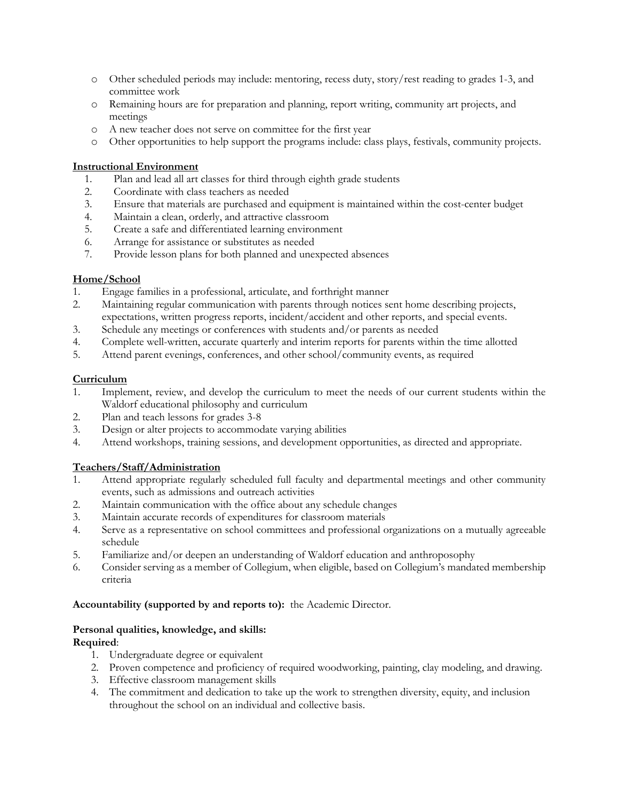- o Other scheduled periods may include: mentoring, recess duty, story/rest reading to grades 1-3, and committee work
- o Remaining hours are for preparation and planning, report writing, community art projects, and meetings
- o A new teacher does not serve on committee for the first year
- o Other opportunities to help support the programs include: class plays, festivals, community projects.

#### **Instructional Environment**

- 1. Plan and lead all art classes for third through eighth grade students
- 2. Coordinate with class teachers as needed
- 3. Ensure that materials are purchased and equipment is maintained within the cost-center budget
- 4. Maintain a clean, orderly, and attractive classroom
- 5. Create a safe and differentiated learning environment
- 6. Arrange for assistance or substitutes as needed
- 7. Provide lesson plans for both planned and unexpected absences

### **Home/School**

- 1. Engage families in a professional, articulate, and forthright manner
- 2. Maintaining regular communication with parents through notices sent home describing projects, expectations, written progress reports, incident/accident and other reports, and special events.
- 3. Schedule any meetings or conferences with students and/or parents as needed
- 4. Complete well-written, accurate quarterly and interim reports for parents within the time allotted
- 5. Attend parent evenings, conferences, and other school/community events, as required

### **Curriculum**

- 1. Implement, review, and develop the curriculum to meet the needs of our current students within the Waldorf educational philosophy and curriculum
- 2. Plan and teach lessons for grades 3-8
- 3. Design or alter projects to accommodate varying abilities
- 4. Attend workshops, training sessions, and development opportunities, as directed and appropriate.

# **Teachers/Staff/Administration**

- 1. Attend appropriate regularly scheduled full faculty and departmental meetings and other community events, such as admissions and outreach activities
- 2. Maintain communication with the office about any schedule changes
- 3. Maintain accurate records of expenditures for classroom materials
- 4. Serve as a representative on school committees and professional organizations on a mutually agreeable schedule
- 5. Familiarize and/or deepen an understanding of Waldorf education and anthroposophy
- 6. Consider serving as a member of Collegium, when eligible, based on Collegium's mandated membership criteria

#### **Accountability (supported by and reports to):** the Academic Director*.*

# **Personal qualities, knowledge, and skills:**

- **Required**:
	- 1. Undergraduate degree or equivalent
	- 2. Proven competence and proficiency of required woodworking, painting, clay modeling, and drawing.
	- 3. Effective classroom management skills
	- 4. The commitment and dedication to take up the work to strengthen diversity, equity, and inclusion throughout the school on an individual and collective basis.